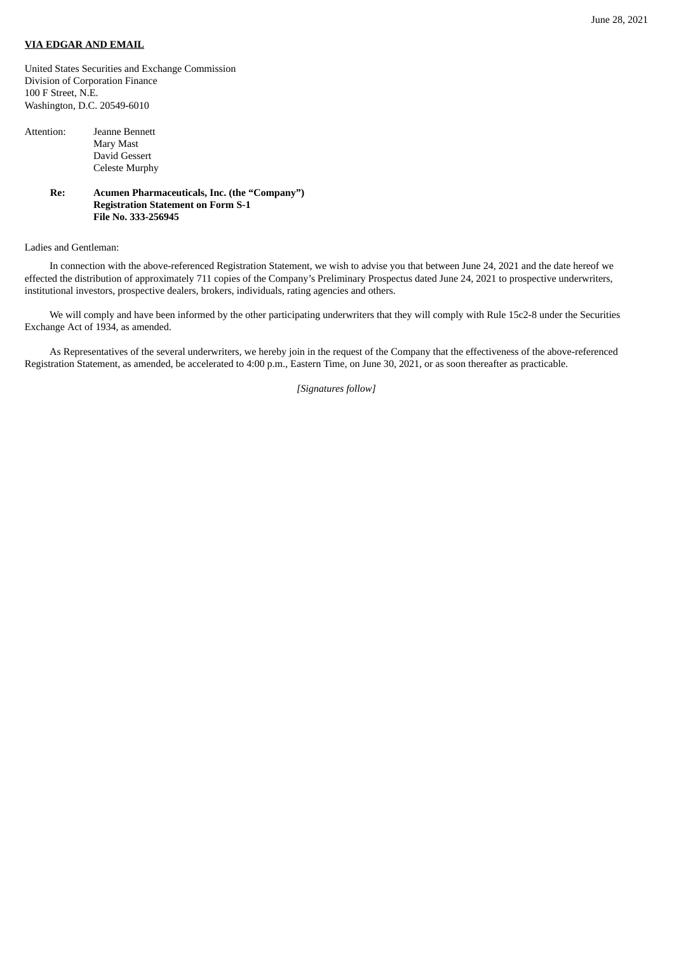## **VIA EDGAR AND EMAIL**

United States Securities and Exchange Commission Division of Corporation Finance 100 F Street, N.E. Washington, D.C. 20549-6010

| Attention: | Jeanne Bennett        |
|------------|-----------------------|
|            | Mary Mast             |
|            | David Gessert         |
|            | <b>Celeste Murphy</b> |

**Re: Acumen Pharmaceuticals, Inc. (the "Company") Registration Statement on Form S-1 File No. 333-256945**

## Ladies and Gentleman:

In connection with the above-referenced Registration Statement, we wish to advise you that between June 24, 2021 and the date hereof we effected the distribution of approximately 711 copies of the Company's Preliminary Prospectus dated June 24, 2021 to prospective underwriters, institutional investors, prospective dealers, brokers, individuals, rating agencies and others.

We will comply and have been informed by the other participating underwriters that they will comply with Rule 15c2-8 under the Securities Exchange Act of 1934, as amended.

As Representatives of the several underwriters, we hereby join in the request of the Company that the effectiveness of the above-referenced Registration Statement, as amended, be accelerated to 4:00 p.m., Eastern Time, on June 30, 2021, or as soon thereafter as practicable.

*[Signatures follow]*